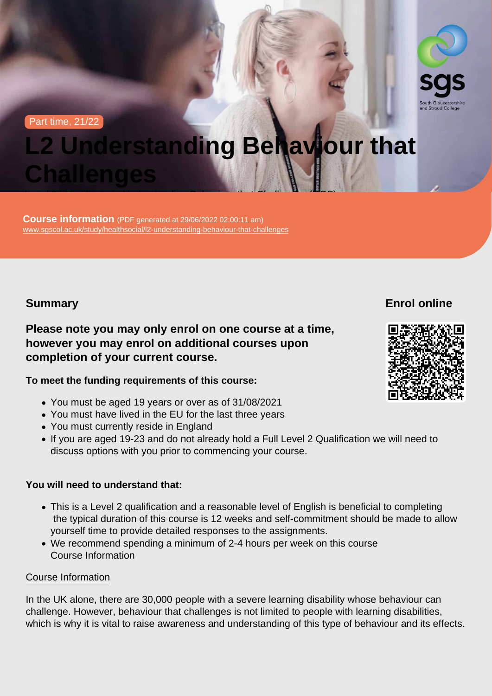#### Part time, 21/22

# L2 Understanding Behaviour that **Challenges**

Course information (PDF generated at 29/06/2022 02:00:11 am) [www.sgscol.ac.uk/study/healthsocial/l2-understanding-behaviour-that-challenges](https://www.sgscol.ac.uk/study/healthsocial/l2-understanding-behaviour-that-challenges)

Level 2 | Certificate in Understanding Behaviour that Challenges (RQF)

Summary

Enrol online

Please note you may only enrol on one course at a time, however you may enrol on additional courses upon completion of your current course.

To meet the funding requirements of this course:

- You must be aged 19 years or over as of 31/08/2021
- You must have lived in the EU for the last three years
- You must currently reside in England
- If you are aged 19-23 and do not already hold a Full Level 2 Qualification we will need to discuss options with you prior to commencing your course.

You will need to understand that:

- This is a Level 2 qualification and a reasonable level of English is beneficial to completing the typical duration of this course is 12 weeks and self-commitment should be made to allow yourself time to provide detailed responses to the assignments.
- We recommend spending a minimum of 2-4 hours per week on this course Course Information

## Course Information

In the UK alone, there are 30,000 people with a severe learning disability whose behaviour can challenge. However, behaviour that challenges is not limited to people with learning disabilities, which is why it is vital to raise awareness and understanding of this type of behaviour and its effects.